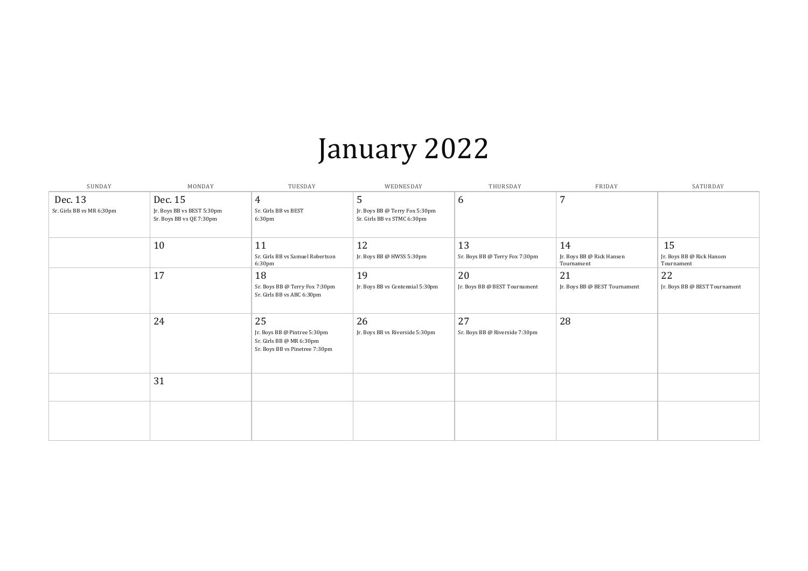## January 2022

| SUNDAY                               | MONDAY                                                            | TUESDAY                                                                                          | WEDNESDAY                                                          | THURSDAY                             | FRIDAY                                        | SATURDAY                                      |
|--------------------------------------|-------------------------------------------------------------------|--------------------------------------------------------------------------------------------------|--------------------------------------------------------------------|--------------------------------------|-----------------------------------------------|-----------------------------------------------|
| Dec. 13<br>Sr. Girls BB vs MR 6:30pm | Dec. 15<br>Jr. Boys BB vs BEST 5:30pm<br>Sr. Boys BB vs QE 7:30pm | $\overline{4}$<br>Sr. Girls BB vs BEST<br>6:30pm                                                 | 5<br>Jr. Boys BB @ Terry Fox 5:30pm<br>Sr. Girls BB vs STMC 6:30pm | 6                                    | $\overline{7}$                                |                                               |
|                                      | 10                                                                | 11<br>Sr. Girls BB vs Samuel Robertson<br>6:30pm                                                 | 12<br>Jr. Boys BB @ HWSS 5:30pm                                    | 13<br>Sr. Boys BB @ Terry Fox 7:30pm | 14<br>Jr. Boys BB @ Rick Hansen<br>Tournament | 15<br>Jr. Boys BB @ Rick Hansen<br>Tournament |
|                                      | 17                                                                | 18<br>Sr. Boys BB @ Terry Fox 7:30pm<br>Sr. Girls BB vs ABC 6:30pm                               | 19<br>Jr. Boys BB vs Centennial 5:30pm                             | 20<br>Jr. Boys BB @ BEST Tournament  | 21<br>Jr. Boys BB @ BEST Tournament           | 22<br>Jr. Boys BB @ BEST Tournament           |
|                                      | 24                                                                | 25<br>Jr. Boys BB @ Pintree 5:30pm<br>Sr. Girls BB @ MR 6:30pm<br>Sr. Boys BB vs Pinetree 7:30pm | 26<br>Jr. Boys BB vs Riverside 5:30pm                              | 27<br>Sr. Boys BB @ Riverside 7:30pm | 28                                            |                                               |
|                                      | 31                                                                |                                                                                                  |                                                                    |                                      |                                               |                                               |
|                                      |                                                                   |                                                                                                  |                                                                    |                                      |                                               |                                               |

| ansen      | 15<br>Jr. Boys BB @ Rick Hansen<br>Tournament |
|------------|-----------------------------------------------|
|            | 22                                            |
| 'ournament | Jr. Boys BB @ BEST Tournament                 |
|            |                                               |
|            |                                               |
|            |                                               |
|            |                                               |
|            |                                               |
|            |                                               |